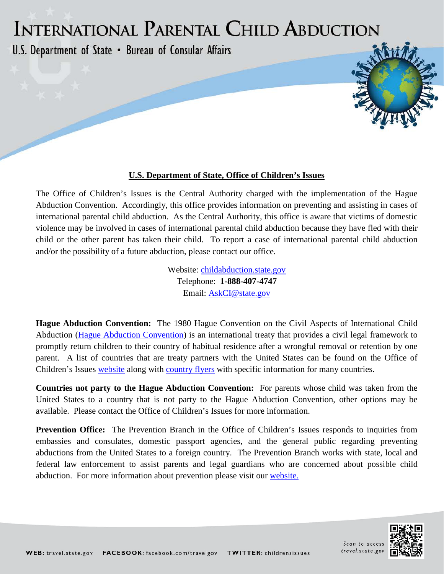## INTERNATIONAL PARENTAL CHILD ABDUCTION

U.S. Department of State . Bureau of Consular Affairs

## **U.S. Department of State, Office of Children's Issues**

The Office of Children's Issues is the Central Authority charged with the implementation of the Hague Abduction Convention. Accordingly, this office provides information on preventing and assisting in cases of international parental child abduction. As the Central Authority, this office is aware that victims of domestic violence may be involved in cases of international parental child abduction because they have fled with their child or the other parent has taken their child. To report a case of international parental child abduction and/or the possibility of a future abduction, please contact our office.

> Website: [childabduction.state.gov](http://travel.state.gov/content/childabduction/english.html) Telephone: **1-888-407-4747** Email: [AskCI@state.gov](mailto:AskCI@state.gov)

**Hague Abduction Convention:** The 1980 Hague Convention on the Civil Aspects of International Child Abduction [\(Hague Abduction Convention\)](http://www.hcch.net/upload/conventions/txt28en.pdf) is an international treaty that provides a civil legal framework to promptly return children to their country of habitual residence after a wrongful removal or retention by one parent. A list of countries that are treaty partners with the United States can be found on the Office of Children's Issues [website](http://travel.state.gov/abduction/resources/congressreport/congressreport_1487.html) along with [country flyers](http://travel.state.gov/abduction/country/country_3781.html) with specific information for many countries.

**Countries not party to the Hague Abduction Convention:** For parents whose child was taken from the United States to a country that is not party to the Hague Abduction Convention, other options may be available. Please contact the Office of Children's Issues for more information.

**Prevention Office:** The Prevention Branch in the Office of Children's Issues responds to inquiries from embassies and consulates, domestic passport agencies, and the general public regarding preventing abductions from the United States to a foreign country. The Prevention Branch works with state, local and federal law enforcement to assist parents and legal guardians who are concerned about possible child abduction. For more information about prevention please visit our [website.](http://travel.state.gov/content/childabduction/english/preventing.html)



Scan to access travel.state.go

hit